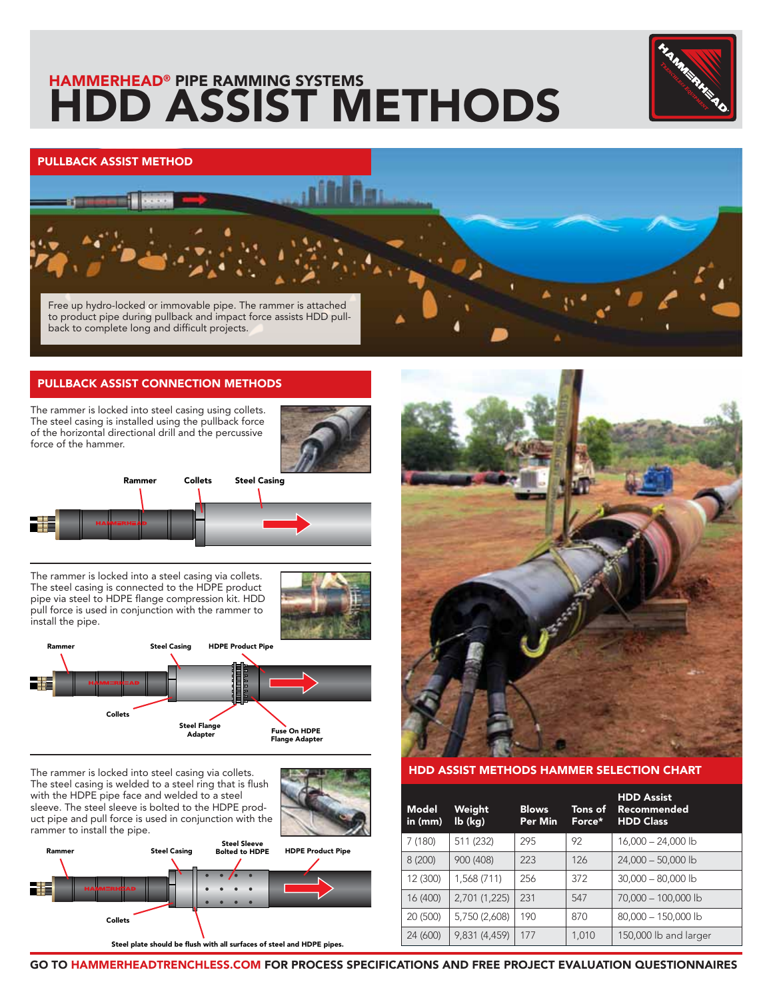# **HAMMERHEAD® PIPE RAMMING SYSTEMS HDD ASSIST METHODS**



## **PULLBACK ASSIST METHOD**

Free up hydro-locked or immovable pipe. The rammer is attached to product pipe during pullback and impact force assists HDD pullback to complete long and difficult projects.

### **PULLBACK ASSIST CONNECTION METHODS**

The rammer is locked into steel casing using collets. The steel casing is installed using the pullback force of the horizontal directional drill and the percussive force of the hammer.





The rammer is locked into a steel casing via collets. The steel casing is connected to the HDPE product pipe via steel to HDPE flange compression kit. HDD pull force is used in conjunction with the rammer to install the pipe.





The rammer is locked into steel casing via collets. The steel casing is welded to a steel ring that is flush with the HDPE pipe face and welded to a steel sleeve. The steel sleeve is bolted to the HDPE product pipe and pull force is used in conjunction with the rammer to install the pipe.







### **HDD ASSIST METHODS HAMMER SELECTION CHART**

| <b>Model</b><br>in $(mm)$ | Weight<br>$\mathsf{lb}(\mathsf{kg})$ | <b>Blows</b><br><b>Per Min</b> | Tons of<br>Force* | <b>HDD Assist</b><br>Recommended<br><b>HDD Class</b> |
|---------------------------|--------------------------------------|--------------------------------|-------------------|------------------------------------------------------|
| 7 (180)                   | 511 (232)                            | 295                            | 92                | $16,000 - 24,000$ lb                                 |
| 8(200)                    | 900 (408)                            | 223                            | 126               | $24,000 - 50,000$ lb                                 |
| 12 (300)                  | 1,568 (711)                          | 256                            | 372               | $30,000 - 80,000$ lb                                 |
| 16 (400)                  | 2,701 (1,225)                        | 231                            | 547               | 70,000 - 100,000 lb                                  |
| 20 (500)                  | 5,750 (2,608)                        | 190                            | 870               | 80,000 - 150,000 lb                                  |
| 24 (600)                  | 9,831 (4,459)                        | 177                            | 1.010             | 150,000 lb and larger                                |

**GO TO HAMMERHEADTRENCHLESS.COM FOR PROCESS SPECIFICATIONS AND FREE PROJECT EVALUATION QUESTIONNAIRES**